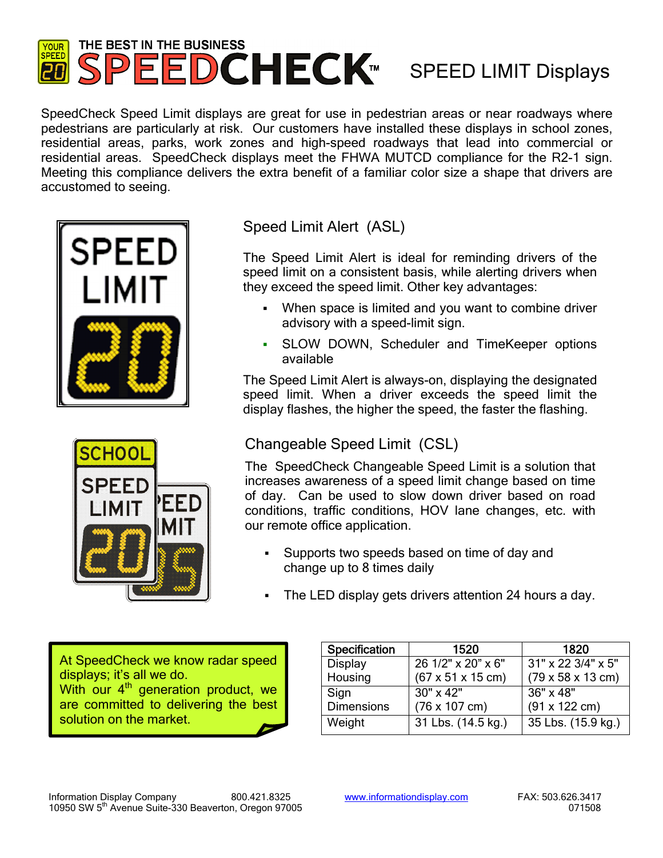## THE BEST IN THE BUSINESS YOUR SPEEDCHECK<sup>™</sup> SPEED LIMIT Displays **SPEED**

SpeedCheck Speed Limit displays are great for use in pedestrian areas or near roadways where pedestrians are particularly at risk. Our customers have installed these displays in school zones, residential areas, parks, work zones and high-speed roadways that lead into commercial or residential areas. SpeedCheck displays meet the FHWA MUTCD compliance for the R2-1 sign. Meeting this compliance delivers the extra benefit of a familiar color size a shape that drivers are accustomed to seeing.





Speed Limit Alert (ASL)

The Speed Limit Alert is ideal for reminding drivers of the speed limit on a consistent basis, while alerting drivers when they exceed the speed limit. Other key advantages:

- When space is limited and you want to combine driver advisory with a speed-limit sign.
- SLOW DOWN, Scheduler and TimeKeeper options available

The Speed Limit Alert is always-on, displaying the designated speed limit. When a driver exceeds the speed limit the display flashes, the higher the speed, the faster the flashing.

# Changeable Speed Limit (CSL)

The SpeedCheck Changeable Speed Limit is a solution that increases awareness of a speed limit change based on time of day. Can be used to slow down driver based on road conditions, traffic conditions, HOV lane changes, etc. with our remote office application.

- Supports two speeds based on time of day and change up to 8 times daily
- The LED display gets drivers attention 24 hours a day.

At SpeedCheck we know radar speed displays; it's all we do. With our 4<sup>th</sup> generation product, we are committed to delivering the best solution on the market.

| Specification     | 1520                                  | 1820                                  |
|-------------------|---------------------------------------|---------------------------------------|
| <b>Display</b>    | 26 1/2" x 20" x 6"                    | $31" \times 22 \frac{3}{4" \times 5"$ |
| Housing           | $(67 \times 51 \times 15 \text{ cm})$ | $(79 \times 58 \times 13 \text{ cm})$ |
| Sign              | 30" x 42"                             | 36" x 48"                             |
| <b>Dimensions</b> | $(76 \times 107 \text{ cm})$          | $(91 \times 122 \text{ cm})$          |
| Weight            | 31 Lbs. (14.5 kg.)                    | 35 Lbs. (15.9 kg.)                    |